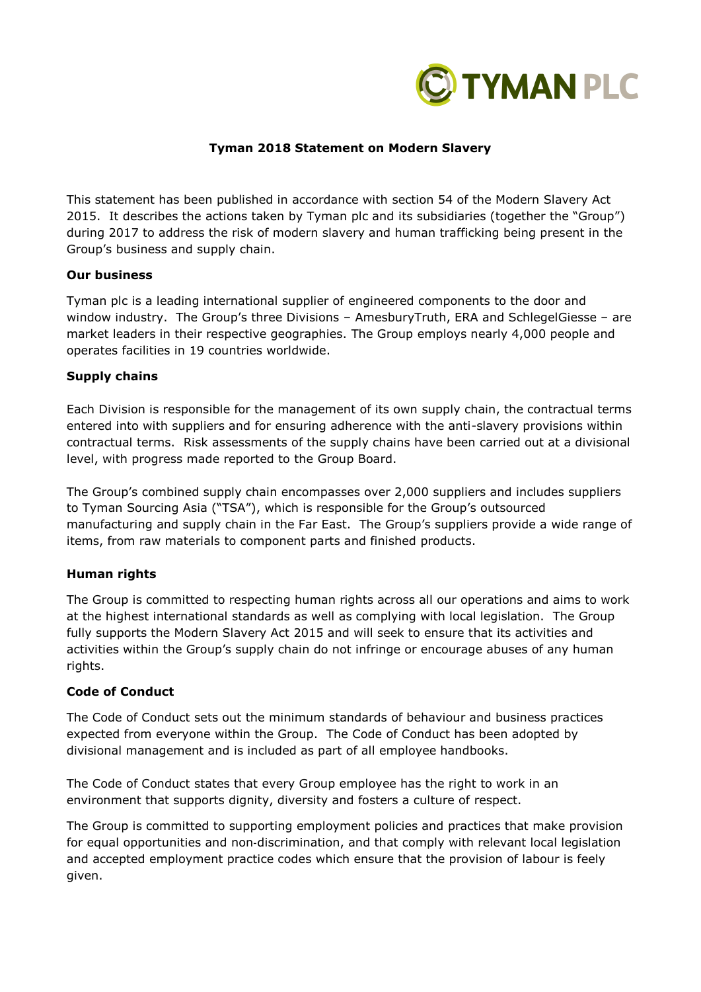

#### **Tyman 2018 Statement on Modern Slavery**

This statement has been published in accordance with section 54 of the Modern Slavery Act 2015. It describes the actions taken by Tyman plc and its subsidiaries (together the "Group") during 2017 to address the risk of modern slavery and human trafficking being present in the Group's business and supply chain.

#### **Our business**

Tyman plc is a leading international supplier of engineered components to the door and window industry. The Group's three Divisions – AmesburyTruth, ERA and SchlegelGiesse – are market leaders in their respective geographies. The Group employs nearly 4,000 people and operates facilities in 19 countries worldwide.

#### **Supply chains**

Each Division is responsible for the management of its own supply chain, the contractual terms entered into with suppliers and for ensuring adherence with the anti-slavery provisions within contractual terms. Risk assessments of the supply chains have been carried out at a divisional level, with progress made reported to the Group Board.

The Group's combined supply chain encompasses over 2,000 suppliers and includes suppliers to Tyman Sourcing Asia ("TSA"), which is responsible for the Group's outsourced manufacturing and supply chain in the Far East. The Group's suppliers provide a wide range of items, from raw materials to component parts and finished products.

## **Human rights**

The Group is committed to respecting human rights across all our operations and aims to work at the highest international standards as well as complying with local legislation. The Group fully supports the Modern Slavery Act 2015 and will seek to ensure that its activities and activities within the Group's supply chain do not infringe or encourage abuses of any human rights.

## **Code of Conduct**

The Code of Conduct sets out the minimum standards of behaviour and business practices expected from everyone within the Group. The Code of Conduct has been adopted by divisional management and is included as part of all employee handbooks.

The Code of Conduct states that every Group employee has the right to work in an environment that supports dignity, diversity and fosters a culture of respect.

The Group is committed to supporting employment policies and practices that make provision for equal opportunities and non-discrimination, and that comply with relevant local legislation and accepted employment practice codes which ensure that the provision of labour is feely given.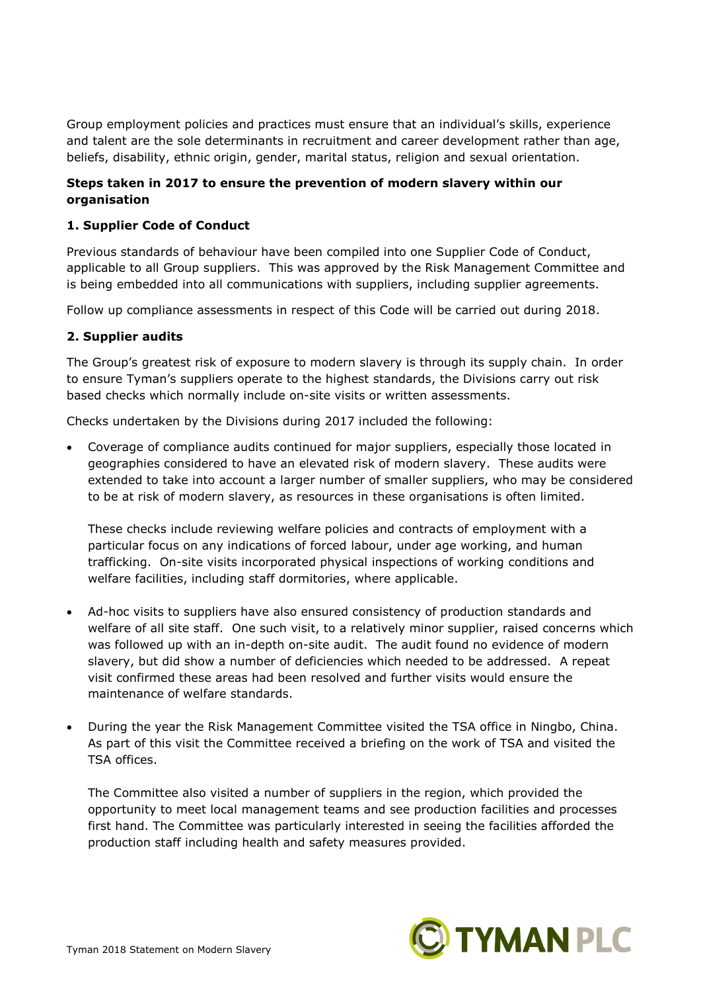Group employment policies and practices must ensure that an individual's skills, experience and talent are the sole determinants in recruitment and career development rather than age, beliefs, disability, ethnic origin, gender, marital status, religion and sexual orientation.

# **Steps taken in 2017 to ensure the prevention of modern slavery within our organisation**

## **1. Supplier Code of Conduct**

Previous standards of behaviour have been compiled into one Supplier Code of Conduct, applicable to all Group suppliers. This was approved by the Risk Management Committee and is being embedded into all communications with suppliers, including supplier agreements.

Follow up compliance assessments in respect of this Code will be carried out during 2018.

## **2. Supplier audits**

The Group's greatest risk of exposure to modern slavery is through its supply chain. In order to ensure Tyman's suppliers operate to the highest standards, the Divisions carry out risk based checks which normally include on-site visits or written assessments.

Checks undertaken by the Divisions during 2017 included the following:

• Coverage of compliance audits continued for major suppliers, especially those located in geographies considered to have an elevated risk of modern slavery. These audits were extended to take into account a larger number of smaller suppliers, who may be considered to be at risk of modern slavery, as resources in these organisations is often limited.

These checks include reviewing welfare policies and contracts of employment with a particular focus on any indications of forced labour, under age working, and human trafficking. On-site visits incorporated physical inspections of working conditions and welfare facilities, including staff dormitories, where applicable.

- Ad-hoc visits to suppliers have also ensured consistency of production standards and welfare of all site staff. One such visit, to a relatively minor supplier, raised concerns which was followed up with an in-depth on-site audit. The audit found no evidence of modern slavery, but did show a number of deficiencies which needed to be addressed. A repeat visit confirmed these areas had been resolved and further visits would ensure the maintenance of welfare standards.
- During the year the Risk Management Committee visited the TSA office in Ningbo, China. As part of this visit the Committee received a briefing on the work of TSA and visited the TSA offices.

The Committee also visited a number of suppliers in the region, which provided the opportunity to meet local management teams and see production facilities and processes first hand. The Committee was particularly interested in seeing the facilities afforded the production staff including health and safety measures provided.